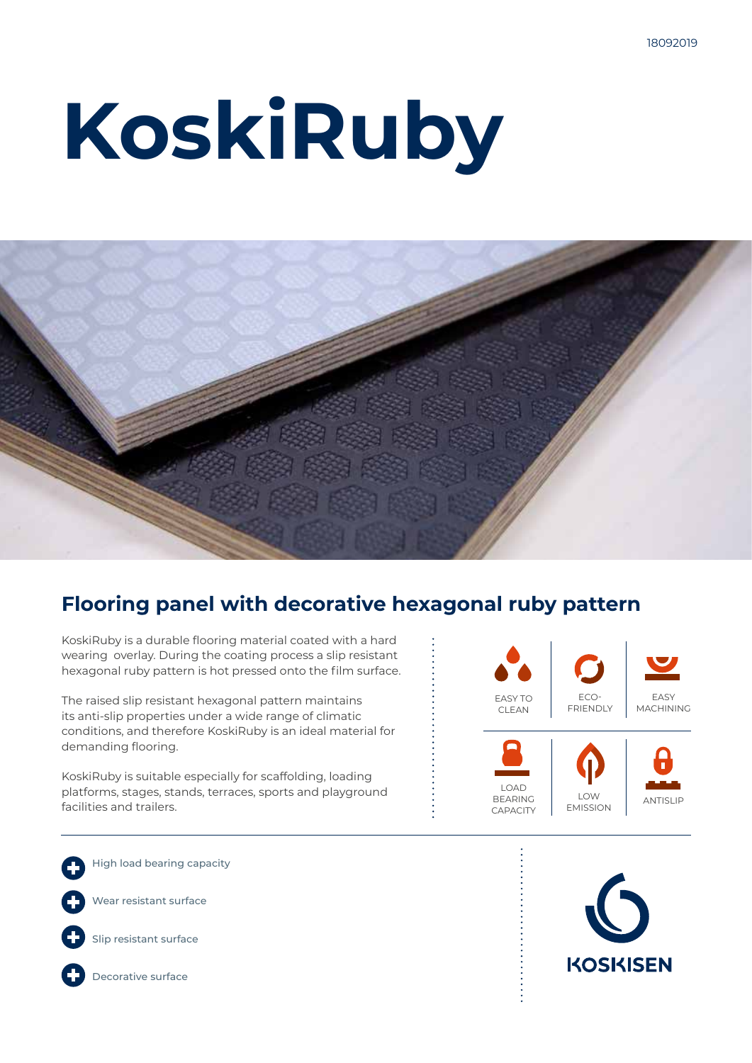# **KoskiRuby**



### **Flooring panel with decorative hexagonal ruby pattern**

KoskiRuby is a durable flooring material coated with a hard wearing overlay. During the coating process a slip resistant hexagonal ruby pattern is hot pressed onto the film surface.

The raised slip resistant hexagonal pattern maintains its anti-slip properties under a wide range of climatic conditions, and therefore KoskiRuby is an ideal material for demanding flooring.

KoskiRuby is suitable especially for scaffolding, loading platforms, stages, stands, terraces, sports and playground facilities and trailers.



High load bearing capacity

Wear resistant surface



Slip resistant surface



Decorative surface